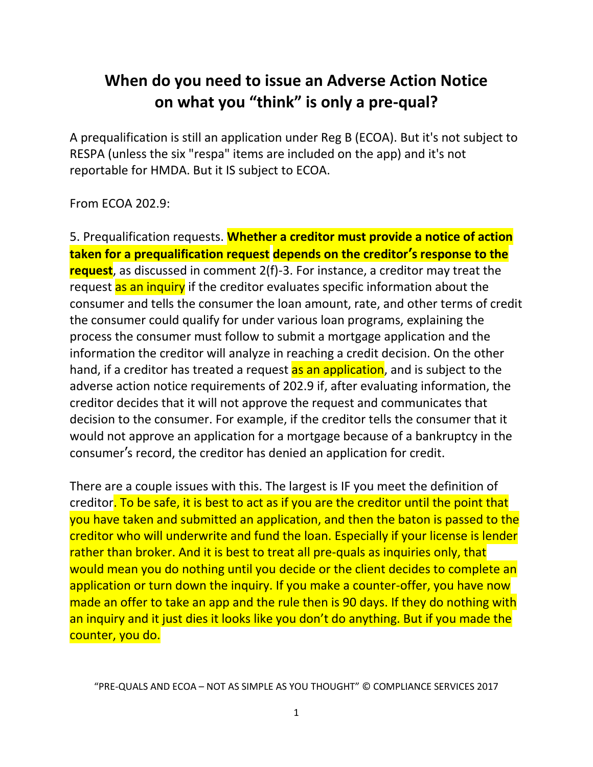# **When do you need to issue an Adverse Action Notice on what you "think" is only a pre-qual?**

A prequalification is still an application under Reg B (ECOA). But it's not subject to RESPA (unless the six "respa" items are included on the app) and it's not reportable for HMDA. But it IS subject to ECOA.

#### From ECOA 202.9:

5. Prequalification requests. **Whether a creditor must provide a notice of action taken for a prequalification request depends on the creditor's response to the request**, as discussed in comment 2(f)-3. For instance, a creditor may treat the request as an inquiry if the creditor evaluates specific information about the consumer and tells the consumer the loan amount, rate, and other terms of credit the consumer could qualify for under various loan programs, explaining the process the consumer must follow to submit a mortgage application and the information the creditor will analyze in reaching a credit decision. On the other hand, if a creditor has treated a request as an application, and is subject to the adverse action notice requirements of 202.9 if, after evaluating information, the creditor decides that it will not approve the request and communicates that decision to the consumer. For example, if the creditor tells the consumer that it would not approve an application for a mortgage because of a bankruptcy in the consumer's record, the creditor has denied an application for credit.

There are a couple issues with this. The largest is IF you meet the definition of creditor. To be safe, it is best to act as if you are the creditor until the point that you have taken and submitted an application, and then the baton is passed to the creditor who will underwrite and fund the loan. Especially if your license is lender rather than broker. And it is best to treat all pre-quals as inquiries only, that would mean you do nothing until you decide or the client decides to complete an application or turn down the inquiry. If you make a counter-offer, you have now made an offer to take an app and the rule then is 90 days. If they do nothing with an inquiry and it just dies it looks like you don't do anything. But if you made the counter, you do.

"PRE-QUALS AND ECOA – NOT AS SIMPLE AS YOU THOUGHT" © COMPLIANCE SERVICES 2017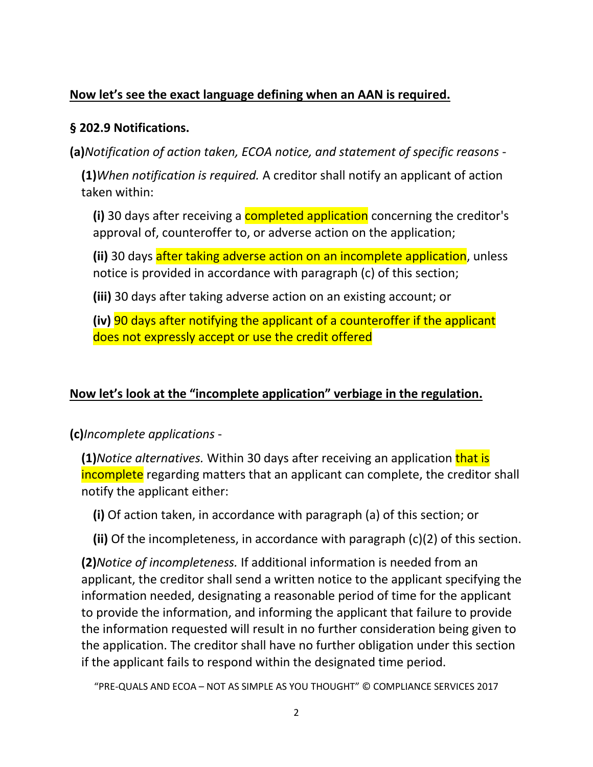### **Now let's see the exact language defining when an AAN is required.**

#### **§ 202.9 Notifications.**

**(a)***Notification of action taken, ECOA notice, and statement of specific reasons* -

**(1)***When notification is required.* A [creditor](https://www.law.cornell.edu/definitions/index.php?width=840&height=800&iframe=true&def_id=21c28024e9ea817387b7739ce0035088&term_occur=1&term_src=Title:12:Chapter:II:Subchapter:A:Part:202:202.9) shall notify an [applicant](https://www.law.cornell.edu/definitions/index.php?width=840&height=800&iframe=true&def_id=ee4a8b2422030b2e5e1b9b478a43d363&term_occur=1&term_src=Title:12:Chapter:II:Subchapter:A:Part:202:202.9) of action taken within:

**(i)** 30 days after receiving a completed [application](https://www.law.cornell.edu/definitions/index.php?width=840&height=800&iframe=true&def_id=4a0c1b37cf6dc45d789d87abffe16d37&term_occur=1&term_src=Title:12:Chapter:II:Subchapter:A:Part:202:202.9) concerning the [creditor'](https://www.law.cornell.edu/definitions/index.php?width=840&height=800&iframe=true&def_id=21c28024e9ea817387b7739ce0035088&term_occur=2&term_src=Title:12:Chapter:II:Subchapter:A:Part:202:202.9)s approval of, counteroffer to, or [adverse action](https://www.law.cornell.edu/definitions/index.php?width=840&height=800&iframe=true&def_id=3d6932ff82bc0af4a27f2aa9826224ae&term_occur=1&term_src=Title:12:Chapter:II:Subchapter:A:Part:202:202.9) on the [application;](https://www.law.cornell.edu/definitions/index.php?width=840&height=800&iframe=true&def_id=4a0c1b37cf6dc45d789d87abffe16d37&term_occur=2&term_src=Title:12:Chapter:II:Subchapter:A:Part:202:202.9)

**(ii)** 30 days after taking [adverse action](https://www.law.cornell.edu/definitions/index.php?width=840&height=800&iframe=true&def_id=3d6932ff82bc0af4a27f2aa9826224ae&term_occur=2&term_src=Title:12:Chapter:II:Subchapter:A:Part:202:202.9) on an incomplete [application,](https://www.law.cornell.edu/definitions/index.php?width=840&height=800&iframe=true&def_id=4a0c1b37cf6dc45d789d87abffe16d37&term_occur=3&term_src=Title:12:Chapter:II:Subchapter:A:Part:202:202.9) unless notice is provided in accordance with [paragraph \(c\)](https://www.law.cornell.edu/cfr/text/12/202.9#c) of this section;

**(iii)** 30 days after taking [adverse action](https://www.law.cornell.edu/definitions/index.php?width=840&height=800&iframe=true&def_id=3d6932ff82bc0af4a27f2aa9826224ae&term_occur=3&term_src=Title:12:Chapter:II:Subchapter:A:Part:202:202.9) on an existing [account;](https://www.law.cornell.edu/definitions/index.php?width=840&height=800&iframe=true&def_id=dc06f95b02968fb09e17aef184e12e6b&term_occur=1&term_src=Title:12:Chapter:II:Subchapter:A:Part:202:202.9) or

**(iv)** 90 days after notifying the [applicant](https://www.law.cornell.edu/definitions/index.php?width=840&height=800&iframe=true&def_id=ee4a8b2422030b2e5e1b9b478a43d363&term_occur=2&term_src=Title:12:Chapter:II:Subchapter:A:Part:202:202.9) of a counteroffer if the [applicant](https://www.law.cornell.edu/definitions/index.php?width=840&height=800&iframe=true&def_id=ee4a8b2422030b2e5e1b9b478a43d363&term_occur=3&term_src=Title:12:Chapter:II:Subchapter:A:Part:202:202.9) does not expressly accept or use the [credit](https://www.law.cornell.edu/definitions/index.php?width=840&height=800&iframe=true&def_id=4bd90d15850e068ccd02f13f72ebddf2&term_occur=1&term_src=Title:12:Chapter:II:Subchapter:A:Part:202:202.9) offered

## **Now let's look at the "incomplete application" verbiage in the regulation.**

**(c)***Incomplete applications* -

**(1)***Notice alternatives.* Within 30 days after receiving an [application](https://www.law.cornell.edu/definitions/index.php?width=840&height=800&iframe=true&def_id=4a0c1b37cf6dc45d789d87abffe16d37&term_occur=6&term_src=Title:12:Chapter:II:Subchapter:A:Part:202:202.9) that is incomplete regarding matters that an [applicant](https://www.law.cornell.edu/definitions/index.php?width=840&height=800&iframe=true&def_id=ee4a8b2422030b2e5e1b9b478a43d363&term_occur=18&term_src=Title:12:Chapter:II:Subchapter:A:Part:202:202.9) can complete, the [creditor](https://www.law.cornell.edu/definitions/index.php?width=840&height=800&iframe=true&def_id=21c28024e9ea817387b7739ce0035088&term_occur=18&term_src=Title:12:Chapter:II:Subchapter:A:Part:202:202.9) shall notify the [applicant](https://www.law.cornell.edu/definitions/index.php?width=840&height=800&iframe=true&def_id=ee4a8b2422030b2e5e1b9b478a43d363&term_occur=19&term_src=Title:12:Chapter:II:Subchapter:A:Part:202:202.9) either:

**(i)** Of action taken, in accordance with [paragraph \(a\)](https://www.law.cornell.edu/cfr/text/12/202.9#a) of this section; or

**(ii)** Of the incompleteness, in accordance with [paragraph \(c\)\(2\)](https://www.law.cornell.edu/cfr/text/12/202.9#c_2) of this section.

**(2)***Notice of incompleteness.* If additional information is needed from an [applicant,](https://www.law.cornell.edu/definitions/index.php?width=840&height=800&iframe=true&def_id=ee4a8b2422030b2e5e1b9b478a43d363&term_occur=26&term_src=Title:12:Chapter:II:Subchapter:A:Part:202:202.9) the [creditor](https://www.law.cornell.edu/definitions/index.php?width=840&height=800&iframe=true&def_id=21c28024e9ea817387b7739ce0035088&term_occur=19&term_src=Title:12:Chapter:II:Subchapter:A:Part:202:202.9) shall send a written notice to the [applicant](https://www.law.cornell.edu/definitions/index.php?width=840&height=800&iframe=true&def_id=ee4a8b2422030b2e5e1b9b478a43d363&term_occur=20&term_src=Title:12:Chapter:II:Subchapter:A:Part:202:202.9) specifying the information needed, designating a reasonable period of time for the [applicant](https://www.law.cornell.edu/definitions/index.php?width=840&height=800&iframe=true&def_id=ee4a8b2422030b2e5e1b9b478a43d363&term_occur=21&term_src=Title:12:Chapter:II:Subchapter:A:Part:202:202.9) to provide the information, and informing the [applicant](https://www.law.cornell.edu/definitions/index.php?width=840&height=800&iframe=true&def_id=ee4a8b2422030b2e5e1b9b478a43d363&term_occur=22&term_src=Title:12:Chapter:II:Subchapter:A:Part:202:202.9) that failure to provide the information requested will result in no further consideration being given to the [application.](https://www.law.cornell.edu/definitions/index.php?width=840&height=800&iframe=true&def_id=4a0c1b37cf6dc45d789d87abffe16d37&term_occur=7&term_src=Title:12:Chapter:II:Subchapter:A:Part:202:202.9) The [creditor](https://www.law.cornell.edu/definitions/index.php?width=840&height=800&iframe=true&def_id=21c28024e9ea817387b7739ce0035088&term_occur=20&term_src=Title:12:Chapter:II:Subchapter:A:Part:202:202.9) shall have no further obligation under this section if the [applicant](https://www.law.cornell.edu/definitions/index.php?width=840&height=800&iframe=true&def_id=ee4a8b2422030b2e5e1b9b478a43d363&term_occur=23&term_src=Title:12:Chapter:II:Subchapter:A:Part:202:202.9) fails to respond within the designated time period.

"PRE-QUALS AND ECOA – NOT AS SIMPLE AS YOU THOUGHT" © COMPLIANCE SERVICES 2017